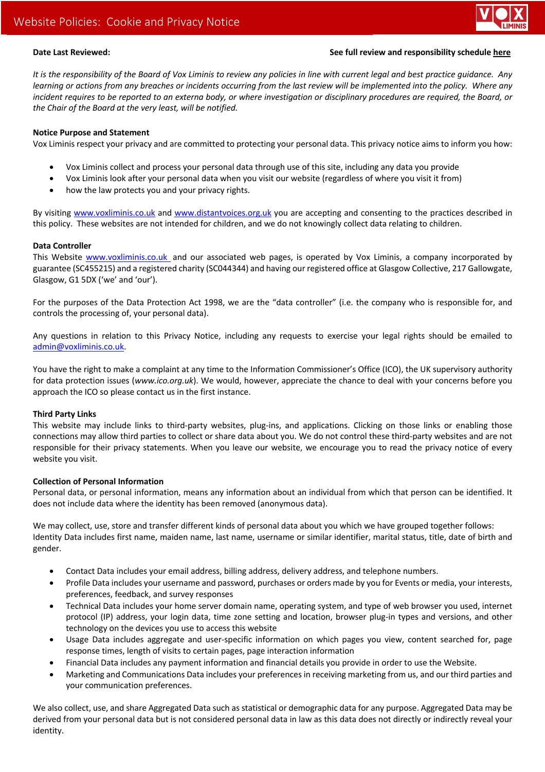

# **Date Last Reviewed: See full review and responsibility schedule here**

*It is the responsibility of the Board of Vox Liminis to review any policies in line with current legal and best practice guidance. Any learning or actions from any breaches or incidents occurring from the last review will be implemented into the policy. Where any incident requires to be reported to an externa body, or where investigation or disciplinary procedures are required, the Board, or the Chair of the Board at the very least, will be notified.*

## **Notice Purpose and Statement**

Vox Liminis respect your privacy and are committed to protecting your personal data. This privacy notice aims to inform you how:

- Vox Liminis collect and process your personal data through use of this site, including any data you provide
- Vox Liminis look after your personal data when you visit our website (regardless of where you visit it from)
- how the law protects you and your privacy rights.

By visiting www.voxliminis.co.uk and www.distantvoices.org.uk you are accepting and consenting to the practices described in this policy. These websites are not intended for children, and we do not knowingly collect data relating to children.

## **Data Controller**

This Website www.voxliminis.co.uk and our associated web pages, is operated by Vox Liminis, a company incorporated by guarantee (SC455215) and a registered charity (SC044344) and having our registered office at Glasgow Collective, 217 Gallowgate, Glasgow, G1 5DX ('we' and 'our').

For the purposes of the Data Protection Act 1998, we are the "data controller" (i.e. the company who is responsible for, and controls the processing of, your personal data).

Any questions in relation to this Privacy Notice, including any requests to exercise your legal rights should be emailed to admin@voxliminis.co.uk.

You have the right to make a complaint at any time to the Information Commissioner's Office (ICO), the UK supervisory authority for data protection issues (*www.ico.org.uk*). We would, however, appreciate the chance to deal with your concerns before you approach the ICO so please contact us in the first instance.

## **Third Party Links**

This website may include links to third-party websites, plug-ins, and applications. Clicking on those links or enabling those connections may allow third parties to collect or share data about you. We do not control these third-party websites and are not responsible for their privacy statements. When you leave our website, we encourage you to read the privacy notice of every website you visit.

## **Collection of Personal Information**

Personal data, or personal information, means any information about an individual from which that person can be identified. It does not include data where the identity has been removed (anonymous data).

We may collect, use, store and transfer different kinds of personal data about you which we have grouped together follows: Identity Data includes first name, maiden name, last name, username or similar identifier, marital status, title, date of birth and gender.

- Contact Data includes your email address, billing address, delivery address, and telephone numbers.
- Profile Data includes your username and password, purchases or orders made by you for Events or media, your interests, preferences, feedback, and survey responses
- Technical Data includes your home server domain name, operating system, and type of web browser you used, internet protocol (IP) address, your login data, time zone setting and location, browser plug-in types and versions, and other technology on the devices you use to access this website
- Usage Data includes aggregate and user-specific information on which pages you view, content searched for, page response times, length of visits to certain pages, page interaction information
- Financial Data includes any payment information and financial details you provide in order to use the Website.
- Marketing and Communications Data includes your preferences in receiving marketing from us, and our third parties and your communication preferences.

We also collect, use, and share Aggregated Data such as statistical or demographic data for any purpose. Aggregated Data may be derived from your personal data but is not considered personal data in law as this data does not directly or indirectly reveal your identity.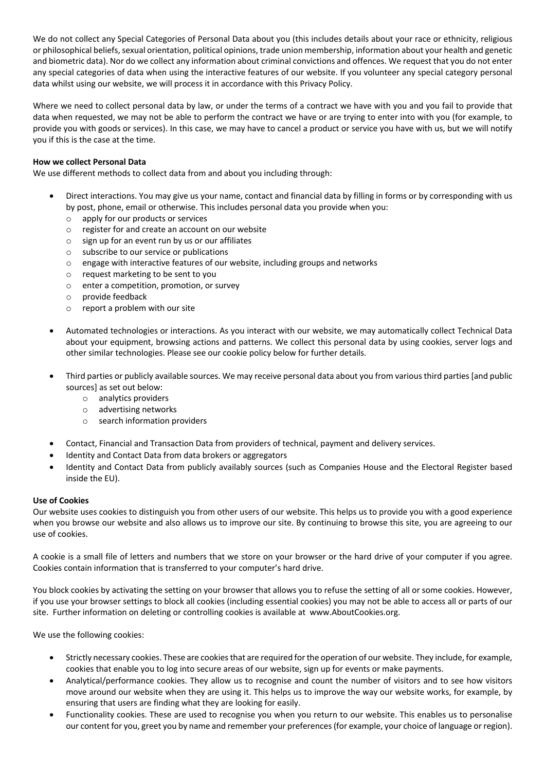We do not collect any Special Categories of Personal Data about you (this includes details about your race or ethnicity, religious or philosophical beliefs, sexual orientation, political opinions, trade union membership, information about your health and genetic and biometric data). Nor do we collect any information about criminal convictions and offences. We request that you do not enter any special categories of data when using the interactive features of our website. If you volunteer any special category personal data whilst using our website, we will process it in accordance with this Privacy Policy.

Where we need to collect personal data by law, or under the terms of a contract we have with you and you fail to provide that data when requested, we may not be able to perform the contract we have or are trying to enter into with you (for example, to provide you with goods or services). In this case, we may have to cancel a product or service you have with us, but we will notify you if this is the case at the time.

### **How we collect Personal Data**

We use different methods to collect data from and about you including through:

- Direct interactions. You may give us your name, contact and financial data by filling in forms or by corresponding with us by post, phone, email or otherwise. This includes personal data you provide when you:
	- o apply for our products or services
	- o register for and create an account on our website
	- $\circ$  sign up for an event run by us or our affiliates
	- o subscribe to our service or publications
	- o engage with interactive features of our website, including groups and networks
	- o request marketing to be sent to you
	- o enter a competition, promotion, or survey
	- o provide feedback
	- o report a problem with our site
- Automated technologies or interactions. As you interact with our website, we may automatically collect Technical Data about your equipment, browsing actions and patterns. We collect this personal data by using cookies, server logs and other similar technologies. Please see our cookie policy below for further details.
- Third parties or publicly available sources. We may receive personal data about you from various third parties [and public sources] as set out below:
	- o analytics providers
	- o advertising networks
	- o search information providers
- Contact, Financial and Transaction Data from providers of technical, payment and delivery services.
- Identity and Contact Data from data brokers or aggregators
- Identity and Contact Data from publicly availably sources (such as Companies House and the Electoral Register based inside the EU).

#### **Use of Cookies**

Our website uses cookies to distinguish you from other users of our website. This helps us to provide you with a good experience when you browse our website and also allows us to improve our site. By continuing to browse this site, you are agreeing to our use of cookies.

A cookie is a small file of letters and numbers that we store on your browser or the hard drive of your computer if you agree. Cookies contain information that is transferred to your computer's hard drive.

You block cookies by activating the setting on your browser that allows you to refuse the setting of all or some cookies. However, if you use your browser settings to block all cookies (including essential cookies) you may not be able to access all or parts of our site. Further information on deleting or controlling cookies is available at www.AboutCookies.org.

We use the following cookies:

- Strictly necessary cookies. These are cookies that are required for the operation of our website. They include, for example, cookies that enable you to log into secure areas of our website, sign up for events or make payments.
- Analytical/performance cookies. They allow us to recognise and count the number of visitors and to see how visitors move around our website when they are using it. This helps us to improve the way our website works, for example, by ensuring that users are finding what they are looking for easily.
- Functionality cookies. These are used to recognise you when you return to our website. This enables us to personalise our content for you, greet you by name and remember your preferences (for example, your choice of language or region).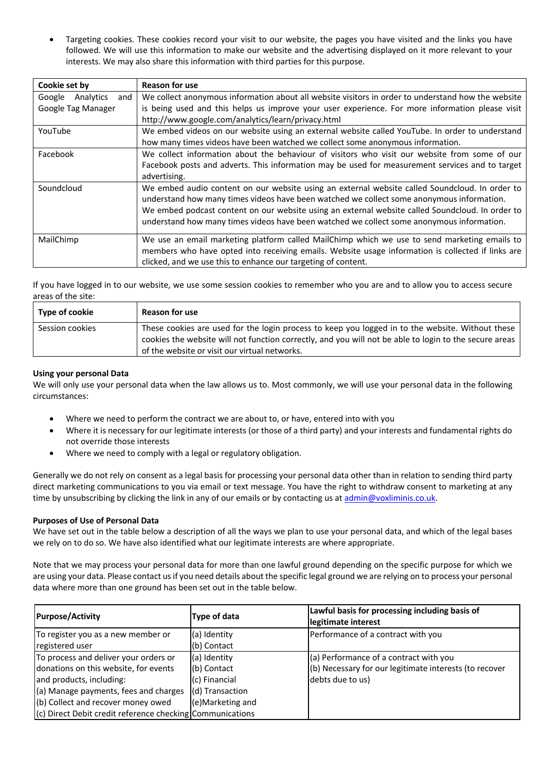• Targeting cookies. These cookies record your visit to our website, the pages you have visited and the links you have followed. We will use this information to make our website and the advertising displayed on it more relevant to your interests. We may also share this information with third parties for this purpose.

| Cookie set by              | <b>Reason for use</b>                                                                              |  |  |
|----------------------------|----------------------------------------------------------------------------------------------------|--|--|
| Analytics<br>Google<br>and | We collect anonymous information about all website visitors in order to understand how the website |  |  |
| Google Tag Manager         | is being used and this helps us improve your user experience. For more information please visit    |  |  |
|                            | http://www.google.com/analytics/learn/privacy.html                                                 |  |  |
| YouTube                    | We embed videos on our website using an external website called YouTube. In order to understand    |  |  |
|                            | how many times videos have been watched we collect some anonymous information.                     |  |  |
| Facebook                   | We collect information about the behaviour of visitors who visit our website from some of our      |  |  |
|                            | Facebook posts and adverts. This information may be used for measurement services and to target    |  |  |
|                            | advertising.                                                                                       |  |  |
| Soundcloud                 | We embed audio content on our website using an external website called Soundcloud. In order to     |  |  |
|                            | understand how many times videos have been watched we collect some anonymous information.          |  |  |
|                            | We embed podcast content on our website using an external website called Soundcloud. In order to   |  |  |
|                            | understand how many times videos have been watched we collect some anonymous information.          |  |  |
| MailChimp                  | We use an email marketing platform called MailChimp which we use to send marketing emails to       |  |  |
|                            | members who have opted into receiving emails. Website usage information is collected if links are  |  |  |
|                            | clicked, and we use this to enhance our targeting of content.                                      |  |  |

If you have logged in to our website, we use some session cookies to remember who you are and to allow you to access secure areas of the site:

| Type of cookie  | <b>Reason for use</b>                                                                                                                                                                                      |
|-----------------|------------------------------------------------------------------------------------------------------------------------------------------------------------------------------------------------------------|
| Session cookies | These cookies are used for the login process to keep you logged in to the website. Without these<br>cookies the website will not function correctly, and you will not be able to login to the secure areas |
|                 | of the website or visit our virtual networks.                                                                                                                                                              |

### **Using your personal Data**

We will only use your personal data when the law allows us to. Most commonly, we will use your personal data in the following circumstances:

- Where we need to perform the contract we are about to, or have, entered into with you
- Where it is necessary for our legitimate interests (or those of a third party) and your interests and fundamental rights do not override those interests
- Where we need to comply with a legal or regulatory obligation.

Generally we do not rely on consent as a legal basis for processing your personal data other than in relation to sending third party direct marketing communications to you via email or text message. You have the right to withdraw consent to marketing at any time by unsubscribing by clicking the link in any of our emails or by contacting us at admin@voxliminis.co.uk.

#### **Purposes of Use of Personal Data**

We have set out in the table below a description of all the ways we plan to use your personal data, and which of the legal bases we rely on to do so. We have also identified what our legitimate interests are where appropriate.

Note that we may process your personal data for more than one lawful ground depending on the specific purpose for which we are using your data. Please contact us if you need details about the specific legal ground we are relying on to process your personal data where more than one ground has been set out in the table below.

| <b>Purpose/Activity</b>                                     | Type of data     | Lawful basis for processing including basis of<br>legitimate interest |
|-------------------------------------------------------------|------------------|-----------------------------------------------------------------------|
| To register you as a new member or                          | (a) Identity     | Performance of a contract with you                                    |
| registered user                                             | (b) Contact      |                                                                       |
| To process and deliver your orders or                       | (a) Identity     | (a) Performance of a contract with you                                |
| donations on this website, for events                       | (b) Contact      | (b) Necessary for our legitimate interests (to recover                |
| and products, including:                                    | (c) Financial    | debts due to us)                                                      |
| (a) Manage payments, fees and charges                       | (d) Transaction  |                                                                       |
| (b) Collect and recover money owed                          | (e)Marketing and |                                                                       |
| $(c)$ Direct Debit credit reference checking Communications |                  |                                                                       |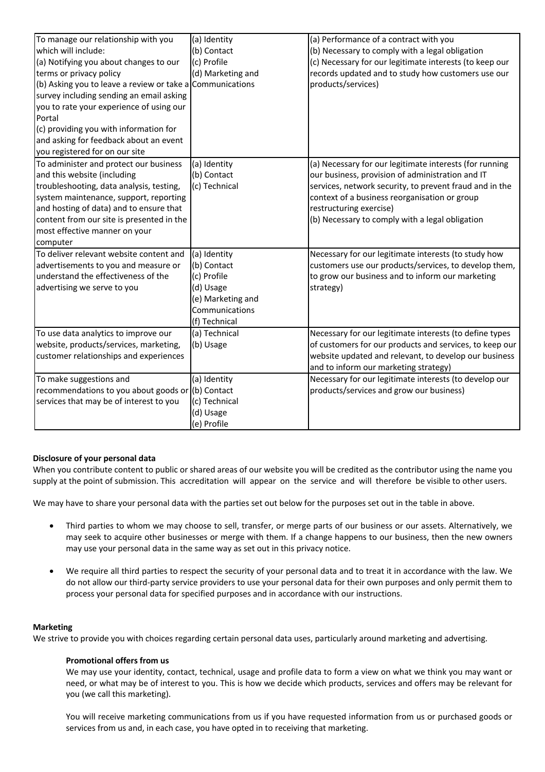| To manage our relationship with you                       | (a) Identity      | (a) Performance of a contract with you                  |
|-----------------------------------------------------------|-------------------|---------------------------------------------------------|
| which will include:                                       | (b) Contact       | (b) Necessary to comply with a legal obligation         |
| (a) Notifying you about changes to our                    | (c) Profile       | (c) Necessary for our legitimate interests (to keep our |
| terms or privacy policy                                   | (d) Marketing and | records updated and to study how customers use our      |
| (b) Asking you to leave a review or take a Communications |                   | products/services)                                      |
| survey including sending an email asking                  |                   |                                                         |
| you to rate your experience of using our                  |                   |                                                         |
| Portal                                                    |                   |                                                         |
| (c) providing you with information for                    |                   |                                                         |
| and asking for feedback about an event                    |                   |                                                         |
| you registered for on our site                            |                   |                                                         |
| To administer and protect our business                    | (a) Identity      | (a) Necessary for our legitimate interests (for running |
| and this website (including                               | (b) Contact       | our business, provision of administration and IT        |
| troubleshooting, data analysis, testing,                  | (c) Technical     | services, network security, to prevent fraud and in the |
| system maintenance, support, reporting                    |                   | context of a business reorganisation or group           |
| and hosting of data) and to ensure that                   |                   | restructuring exercise)                                 |
| content from our site is presented in the                 |                   | (b) Necessary to comply with a legal obligation         |
| most effective manner on your                             |                   |                                                         |
| computer                                                  |                   |                                                         |
| To deliver relevant website content and                   | (a) Identity      | Necessary for our legitimate interests (to study how    |
| advertisements to you and measure or                      | (b) Contact       | customers use our products/services, to develop them,   |
| understand the effectiveness of the                       | (c) Profile       | to grow our business and to inform our marketing        |
| advertising we serve to you                               | (d) Usage         | strategy)                                               |
|                                                           | (e) Marketing and |                                                         |
|                                                           | Communications    |                                                         |
|                                                           | (f) Technical     |                                                         |
| To use data analytics to improve our                      | (a) Technical     | Necessary for our legitimate interests (to define types |
| website, products/services, marketing,                    | (b) Usage         | of customers for our products and services, to keep our |
| customer relationships and experiences                    |                   | website updated and relevant, to develop our business   |
|                                                           |                   | and to inform our marketing strategy)                   |
| To make suggestions and                                   | (a) Identity      | Necessary for our legitimate interests (to develop our  |
| recommendations to you about goods or                     | (b) Contact       | products/services and grow our business)                |
| services that may be of interest to you                   | (c) Technical     |                                                         |
|                                                           | (d) Usage         |                                                         |
|                                                           | (e) Profile       |                                                         |

## **Disclosure of your personal data**

When you contribute content to public or shared areas of our website you will be credited as the contributor using the name you supply at the point of submission. This accreditation will appear on the service and will therefore be visible to other users.

We may have to share your personal data with the parties set out below for the purposes set out in the table in above.

- Third parties to whom we may choose to sell, transfer, or merge parts of our business or our assets. Alternatively, we may seek to acquire other businesses or merge with them. If a change happens to our business, then the new owners may use your personal data in the same way as set out in this privacy notice.
- We require all third parties to respect the security of your personal data and to treat it in accordance with the law. We do not allow our third-party service providers to use your personal data for their own purposes and only permit them to process your personal data for specified purposes and in accordance with our instructions.

#### **Marketing**

We strive to provide you with choices regarding certain personal data uses, particularly around marketing and advertising.

#### **Promotional offers from us**

We may use your identity, contact, technical, usage and profile data to form a view on what we think you may want or need, or what may be of interest to you. This is how we decide which products, services and offers may be relevant for you (we call this marketing).

You will receive marketing communications from us if you have requested information from us or purchased goods or services from us and, in each case, you have opted in to receiving that marketing.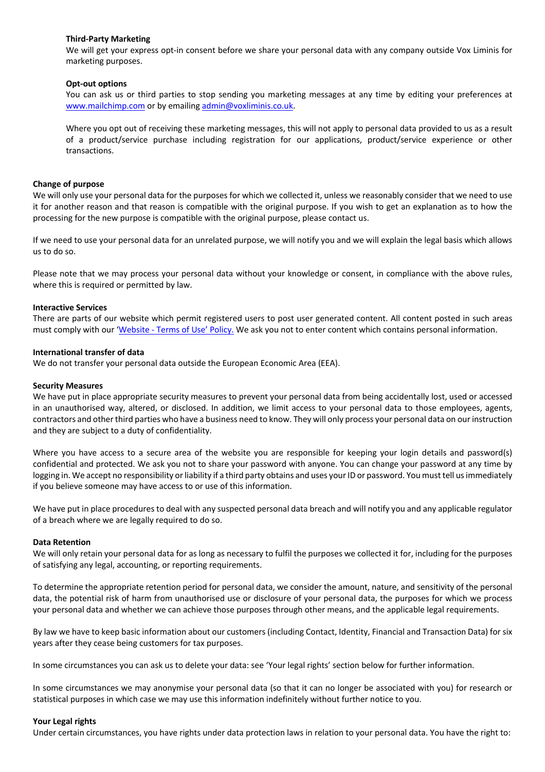#### **Third-Party Marketing**

We will get your express opt-in consent before we share your personal data with any company outside Vox Liminis for marketing purposes.

#### **Opt-out options**

You can ask us or third parties to stop sending you marketing messages at any time by editing your preferences at www.mailchimp.com or by emailing admin@voxliminis.co.uk.

Where you opt out of receiving these marketing messages, this will not apply to personal data provided to us as a result of a product/service purchase including registration for our applications, product/service experience or other transactions.

#### **Change of purpose**

We will only use your personal data for the purposes for which we collected it, unless we reasonably consider that we need to use it for another reason and that reason is compatible with the original purpose. If you wish to get an explanation as to how the processing for the new purpose is compatible with the original purpose, please contact us.

If we need to use your personal data for an unrelated purpose, we will notify you and we will explain the legal basis which allows us to do so.

Please note that we may process your personal data without your knowledge or consent, in compliance with the above rules, where this is required or permitted by law.

#### **Interactive Services**

There are parts of our website which permit registered users to post user generated content. All content posted in such areas must comply with our 'Website - Terms of Use' Policy. We ask you not to enter content which contains personal information.

#### **International transfer of data**

We do not transfer your personal data outside the European Economic Area (EEA).

#### **Security Measures**

We have put in place appropriate security measures to prevent your personal data from being accidentally lost, used or accessed in an unauthorised way, altered, or disclosed. In addition, we limit access to your personal data to those employees, agents, contractors and other third parties who have a business need to know. They will only process your personal data on our instruction and they are subject to a duty of confidentiality.

Where you have access to a secure area of the website you are responsible for keeping your login details and password(s) confidential and protected. We ask you not to share your password with anyone. You can change your password at any time by logging in. We accept no responsibility or liability if a third party obtains and uses your ID or password. You must tell us immediately if you believe someone may have access to or use of this information.

We have put in place procedures to deal with any suspected personal data breach and will notify you and any applicable regulator of a breach where we are legally required to do so.

#### **Data Retention**

We will only retain your personal data for as long as necessary to fulfil the purposes we collected it for, including for the purposes of satisfying any legal, accounting, or reporting requirements.

To determine the appropriate retention period for personal data, we consider the amount, nature, and sensitivity of the personal data, the potential risk of harm from unauthorised use or disclosure of your personal data, the purposes for which we process your personal data and whether we can achieve those purposes through other means, and the applicable legal requirements.

By law we have to keep basic information about our customers (including Contact, Identity, Financial and Transaction Data) for six years after they cease being customers for tax purposes.

In some circumstances you can ask us to delete your data: see 'Your legal rights' section below for further information.

In some circumstances we may anonymise your personal data (so that it can no longer be associated with you) for research or statistical purposes in which case we may use this information indefinitely without further notice to you.

#### **Your Legal rights**

Under certain circumstances, you have rights under data protection laws in relation to your personal data. You have the right to: